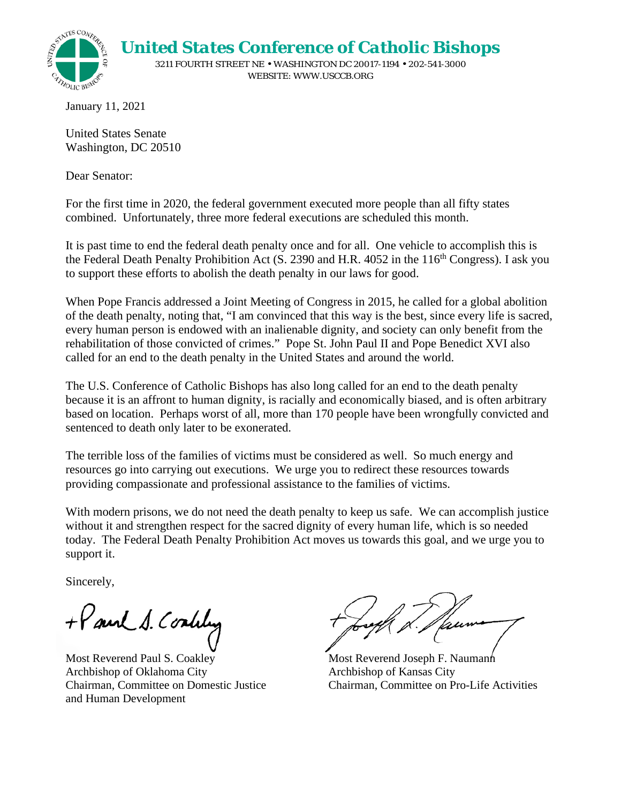

January 11, 2021

United States Senate Washington, DC 20510

Dear Senator:

For the first time in 2020, the federal government executed more people than all fifty states combined. Unfortunately, three more federal executions are scheduled this month.

It is past time to end the federal death penalty once and for all. One vehicle to accomplish this is the Federal Death Penalty Prohibition Act (S. 2390 and H.R. 4052 in the 116<sup>th</sup> Congress). I ask you to support these efforts to abolish the death penalty in our laws for good.

When Pope Francis addressed a Joint Meeting of Congress in 2015, he called for a global abolition of the death penalty, noting that, "I am convinced that this way is the best, since every life is sacred, every human person is endowed with an inalienable dignity, and society can only benefit from the rehabilitation of those convicted of crimes." Pope St. John Paul II and Pope Benedict XVI also called for an end to the death penalty in the United States and around the world.

The U.S. Conference of Catholic Bishops has also long called for an end to the death penalty because it is an affront to human dignity, is racially and economically biased, and is often arbitrary based on location. Perhaps worst of all, more than 170 people have been wrongfully convicted and sentenced to death only later to be exonerated.

The terrible loss of the families of victims must be considered as well. So much energy and resources go into carrying out executions. We urge you to redirect these resources towards providing compassionate and professional assistance to the families of victims.

With modern prisons, we do not need the death penalty to keep us safe. We can accomplish justice without it and strengthen respect for the sacred dignity of every human life, which is so needed today. The Federal Death Penalty Prohibition Act moves us towards this goal, and we urge you to support it.

Sincerely,

+ Paul S. Coality

Most Reverend Paul S. Coakley Archbishop of Oklahoma City Chairman, Committee on Domestic Justice and Human Development

Most Reverend Joseph F. Naumann Archbishop of Kansas City Chairman, Committee on Pro-Life Activities